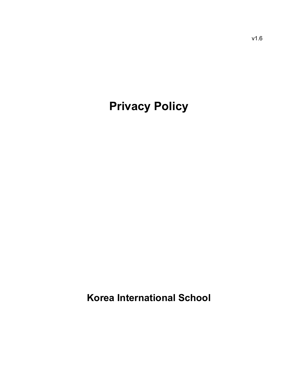# **Privacy Policy**

**Korea International School**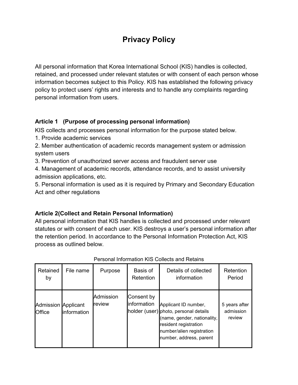# **Privacy Policy**

All personal information that Korea International School (KIS) handles is collected, retained, and processed under relevant statutes or with consent of each person whose information becomes subject to this Policy. KIS has established the following privacy policy to protect users' rights and interests and to handle any complaints regarding personal information from users.

#### **Article 1 (Purpose of processing personal information)**

KIS collects and processes personal information for the purpose stated below.

- 1. Provide academic services
- 2. Member authentication of academic records management system or admission system users
- 3. Prevention of unauthorized server access and fraudulent server use

4. Management of academic records, attendance records, and to assist university admission applications, etc.

5. Personal information is used as it is required by Primary and Secondary Education Act and other regulations

#### **Article 2(Collect and Retain Personal Information)**

All personal information that KIS handles is collected and processed under relevant statutes or with consent of each user. KIS destroys a user's personal information after the retention period. In accordance to the Personal Information Protection Act, KIS process as outlined below.

| Retained<br>by                              | File name   | Purpose             | Basis of<br>Retention     | Details of collected<br>information                                                                                                                                           | Retention<br>Period                  |
|---------------------------------------------|-------------|---------------------|---------------------------|-------------------------------------------------------------------------------------------------------------------------------------------------------------------------------|--------------------------------------|
| <b>Admission Applicant</b><br><b>Office</b> | information | Admission<br>review | Consent by<br>information | Applicant ID number,<br>holder (user) photo, personal details<br>(name, gender, nationality,<br>resident registration<br>number/alien registration<br>number, address, parent | 5 years after<br>admission<br>review |

#### Personal Information KIS Collects and Retains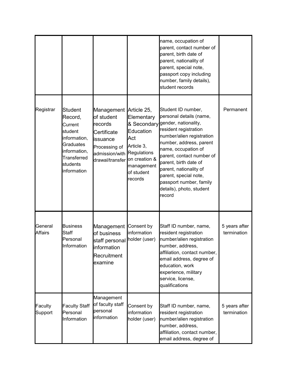|                           |                                                                                                                                               |                                                                                                                                                            |                                                                                                    | name, occupation of<br>parent, contact number of<br>parent, birth date of<br>parent, nationality of<br>parent, special note,<br>passport copy including<br>number, family details),<br>student records                                                                                                                                                  |                              |
|---------------------------|-----------------------------------------------------------------------------------------------------------------------------------------------|------------------------------------------------------------------------------------------------------------------------------------------------------------|----------------------------------------------------------------------------------------------------|---------------------------------------------------------------------------------------------------------------------------------------------------------------------------------------------------------------------------------------------------------------------------------------------------------------------------------------------------------|------------------------------|
| Registrar                 | <b>Student</b><br>Record,<br>Current<br>student<br>information,<br><b>Graduates</b><br>information,<br>Transferred<br>students<br>information | Management Article 25,<br>of student<br>records<br>Certificate<br>issuance<br>Processing of<br>admission/with Regulations<br>drawal/transfer on creation & | Elementary<br>& Secondary<br>Education<br>Act<br>Article 3,<br>management<br>of student<br>records | Student ID number,<br>personal details (name,<br>gender, nationality,<br>resident registration<br>number/alien registration<br>number, address, parent<br>name, occupation of<br>parent, contact number of<br>parent, birth date of<br>parent, nationality of<br>parent, special note,<br>passport number, family<br>details), photo, student<br>record | Permanent                    |
| General<br><b>Affairs</b> | <b>Business</b><br><b>Staff</b><br>Personal<br>Information                                                                                    | Management<br>of business<br>staff personal<br>information<br>Recruitment<br>examine                                                                       | Consent by<br>information<br>holder (user)                                                         | Staff ID number, name,<br>resident registration<br>number/alien registration<br>number, address,<br>affiliation, contact number,<br>email address, degree of<br>education, work<br>experience, military<br>service, license,<br>qualifications                                                                                                          | 5 years after<br>termination |
| Faculty<br>Support        | <b>Faculty Staff</b><br>Personal<br>Information                                                                                               | Management<br>of faculty staff<br>personal<br>information                                                                                                  | Consent by<br>information<br>holder (user)                                                         | Staff ID number, name,<br>resident registration<br>number/alien registration<br>number, address,<br>affiliation, contact number,<br>email address, degree of                                                                                                                                                                                            | 5 years after<br>termination |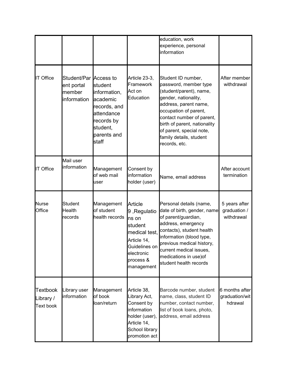|                                                  |                                                              |                                                                                                                     |                                                                                                                                              | education, work<br>experience, personal<br>information                                                                                                                                                                                                                                |                                             |
|--------------------------------------------------|--------------------------------------------------------------|---------------------------------------------------------------------------------------------------------------------|----------------------------------------------------------------------------------------------------------------------------------------------|---------------------------------------------------------------------------------------------------------------------------------------------------------------------------------------------------------------------------------------------------------------------------------------|---------------------------------------------|
| <b>IT Office</b>                                 | Student/Par Access to<br>ent portal<br>member<br>information | student<br>information,<br>academic<br>records, and<br>attendance<br>records by<br>student,<br>parents and<br>staff | Article 23-3,<br>Framework<br>Act on<br>Education                                                                                            | Student ID number,<br>password, member type<br>(student/parent), name,<br>gender, nationality,<br>address, parent name,<br>occupation of parent,<br>contact number of parent,<br>birth of parent, nationality<br>of parent, special note,<br>family details, student<br>records, etc. | After member<br>withdrawal                  |
| IT Office                                        | Mail user<br>information                                     | Management<br>of web mail<br>user                                                                                   | Consent by<br>information<br>holder (user)                                                                                                   | Name, email address                                                                                                                                                                                                                                                                   | After account<br>termination                |
| <b>Nurse</b><br>Office                           | Student<br><b>Health</b><br>records                          | Management<br>of student<br>health records                                                                          | <b>Article</b><br>9, Regulatio<br>ns on<br>student<br>medical test,<br>Article 14,<br>Guidelines on<br>electronic<br>process &<br>management | Personal details (name,<br>date of birth, gender, name<br>of parent/guardian,<br>address, emergency<br>contacts), student health<br>information (blood type,<br>previous medical history,<br>current medical issues,<br>medications in use) of<br>student health records              | 5 years after<br>graduation /<br>withdrawal |
| <b>Textbook</b><br>Library /<br><b>Text book</b> | Library user<br>information                                  | Management<br>of book<br>loan/return                                                                                | Article 38,<br>Library Act,<br>Consent by<br>information<br>holder (user),<br>Article 14,<br>School library<br>promotion act                 | Barcode number, student<br>name, class, student ID<br>number, contact number,<br>list of book loans, photo,<br>address, email address                                                                                                                                                 | 6 months after<br>graduation/wit<br>hdrawal |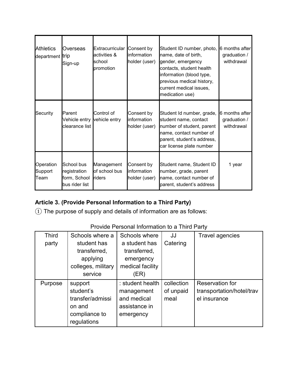| <b>Athletics</b><br>department trip | Overseas<br>Sign-up                                          | Extracurricular Consent by<br>activities &<br>school<br>promotion | information<br>holder (user)               | Student ID number, photo,<br>name, date of birth,<br>gender, emergency<br>contacts, student health<br>information (blood type,<br>previous medical history,<br>current medical issues,<br>medication use) | 6 months after<br>graduation /<br>withdrawal |
|-------------------------------------|--------------------------------------------------------------|-------------------------------------------------------------------|--------------------------------------------|-----------------------------------------------------------------------------------------------------------------------------------------------------------------------------------------------------------|----------------------------------------------|
| Security                            | Parent<br>Vehicle entry vehicle entry<br>clearance list      | Control of                                                        | Consent by<br>information<br>holder (user) | Student Id number, grade,<br>student name, contact<br>number of student, parent<br>name, contact number of<br>parent, student's address,<br>car license plate number                                      | 6 months after<br>graduation /<br>withdrawal |
| Operation<br>Support<br>Team        | School bus<br>registration<br>form, School<br>bus rider list | Management<br>of school bus<br>riders                             | Consent by<br>information<br>holder (user) | Student name, Student ID<br>number, grade, parent<br>name, contact number of<br>parent, student's address                                                                                                 | 1 year                                       |

# **Article 3. (Provide Personal Information to a Third Party)**

① The purpose of supply and details of information are as follows:

#### Provide Personal Information to a Third Party

| <b>Third</b> | Schools where a    | Schools where    | JJ         | Travel agencies           |
|--------------|--------------------|------------------|------------|---------------------------|
| party        | student has        | a student has    | Catering   |                           |
|              | transferred,       | transferred,     |            |                           |
|              | applying           | emergency        |            |                           |
|              | colleges, military | medical facility |            |                           |
|              | service            | (ER)             |            |                           |
| Purpose      | support            | : student health | collection | <b>Reservation for</b>    |
|              | student's          | management       | of unpaid  | transportation/hotel/trav |
|              | transfer/admissi   | and medical      | meal       | el insurance              |
|              | on and             | assistance in    |            |                           |
|              | compliance to      | emergency        |            |                           |
|              | regulations        |                  |            |                           |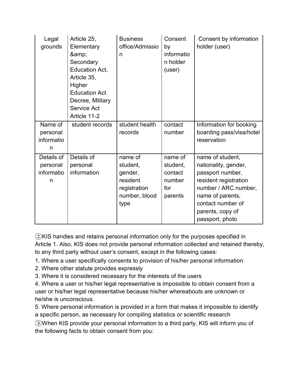| Legal<br>grounds                          | Article 25,<br>Elementary<br>&<br>Secondary<br>Education Act,<br>Article 35,<br>Higher<br><b>Education Act</b><br>Decree, Military<br>Service Act<br>Article 11-2 | <b>Business</b><br>office/Admissio<br>n                                             | Consent<br>by<br>informatio<br>n holder<br>(user)          | Consent by information<br>holder (user)                                                                                                                                                       |
|-------------------------------------------|-------------------------------------------------------------------------------------------------------------------------------------------------------------------|-------------------------------------------------------------------------------------|------------------------------------------------------------|-----------------------------------------------------------------------------------------------------------------------------------------------------------------------------------------------|
| Name of<br>personal<br>informatio<br>n    | student records                                                                                                                                                   | student health<br>records                                                           | contact<br>number                                          | Information for booking<br>boarding pass/visa/hotel<br>reservation                                                                                                                            |
| Details of<br>personal<br>informatio<br>n | Details of<br>personal<br>information                                                                                                                             | name of<br>student,<br>gender,<br>resident<br>registration<br>number, blood<br>type | name of<br>student,<br>contact<br>number<br>for<br>parents | name of student,<br>nationality, gender,<br>passport number,<br>resident registration<br>number / ARC number,<br>name of parents,<br>contact number of<br>parents, copy of<br>passport, photo |

②KIS handles and retains personal information only for the purposes specified in Article 1. Also, KIS does not provide personal information collected and retained thereby, to any third party without user's consent, except in the following cases:

1. Where a user specifically consents to provision of his/her personal information

2. Where other statute provides expressly

3. Where it is considered necessary for the interests of the users

4. Where a user or his/her legal representative is impossible to obtain consent from a user or his/her legal representative because his/her whereabouts are unknown or he/she is unconscious.

5. Where personal information is provided in a form that makes it impossible to identify a specific person, as necessary for compiling statistics or scientific research

③When KIS provide your personal information to a third party, KIS will inform you of the following facts to obtain consent from you: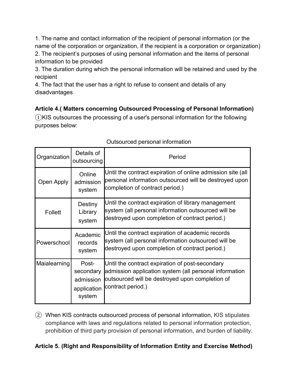1. The name and contact information of the recipient of personal information (or the name of the corporation or organization, if the recipient is a corporation or organization) 2. The recipient's purposes of using personal information and the items of personal information to be provided

3. The duration during which the personal information will be retained and used by the recipient

4. The fact that the user has a right to refuse to consent and details of any disadvantages

**Article 4.( Matters concerning Outsourced Processing of Personal Information)**   $(1)$ KIS outsources the processing of a user's personal information for the following purposes below:

| aloodi ood poroonidi innonnalioni |                                                          |                                                                                                                                                                                   |  |  |
|-----------------------------------|----------------------------------------------------------|-----------------------------------------------------------------------------------------------------------------------------------------------------------------------------------|--|--|
| Organization                      | Details of<br>outsourcing                                | Period                                                                                                                                                                            |  |  |
| Open Apply                        | Online<br>admission<br>system                            | Until the contract expiration of online admission site (all<br>personal information outsourced will be destroyed upon<br>completion of contract period.)                          |  |  |
| Follett                           | Destiny<br>Library<br>system                             | Until the contract expiration of library management<br>system (all personal information outsourced will be<br>destroyed upon completion of contract period.)                      |  |  |
| Powerschool                       | Academic<br>records<br>system                            | Until the contract expiration of academic records<br>system (all personal information outsourced will be<br>destroyed upon completion of contract period.)                        |  |  |
| Maialearning                      | Post-<br>secondary<br>admission<br>application<br>system | Until the contract expiration of post-secondary<br>admission application system (all personal information<br>outsourced will be destroyed upon completion of<br>contract period.) |  |  |

# Outsourced personal information

② When KIS contracts outsourced process of personal information, KIS stipulates compliance with laws and regulations related to personal information protection, prohibition of third party provision of personal information, and burden of liability.

# **Article 5. (Right and Responsibility of Information Entity and Exercise Method)**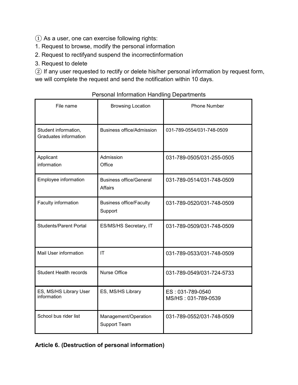$\Omega$  As a user, one can exercise following rights:

- 1. Request to browse, modify the personal information
- 2. Request to rectifyand suspend the incorrectinformation
- 3. Request to delete

② If any user requested to rectify or delete his/her personal information by request form, we will complete the request and send the notification within 10 days.

File name **Browsing Location Phone Number** Student information, Graduates information Business office/Admission 031-789-0554/031-748-0509 Applicant information Admission **Office** 031-789-0505/031-255-0505 Employee information **Business office/General** Affairs 031-789-0514/031-748-0509 Faculty information **Business office/Faculty Support** 031-789-0520/031-748-0509 Students/Parent Portal ES/MS/HS Secretary, IT 031-789-0509/031-748-0509 Mail User information IT IT 1031-789-0533/031-748-0509 Student Health records Nurse Office 031-789-0549/031-724-5733 ES, MS/HS Library User information ES, MS/HS Library **ES** : 031-789-0540 MS/HS : 031-789-0539 School bus rider list Management/Operation Support Team 031-789-0552/031-748-0509

#### Personal Information Handling Departments

**Article 6. (Destruction of personal information)**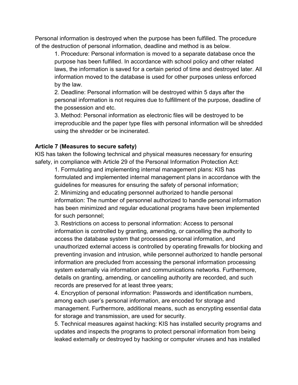Personal information is destroyed when the purpose has been fulfilled. The procedure of the destruction of personal information, deadline and method is as below.

1. Procedure: Personal information is moved to a separate database once the purpose has been fulfilled. In accordance with school policy and other related laws, the information is saved for a certain period of time and destroyed later. All information moved to the database is used for other purposes unless enforced by the law.

2. Deadline: Personal information will be destroyed within 5 days after the personal information is not requires due to fulfillment of the purpose, deadline of the possession and etc.

3. Method: Personal information as electronic files will be destroyed to be irreproducible and the paper type files with personal information will be shredded using the shredder or be incinerated.

#### **Article 7 (Measures to secure safety)**

KIS has taken the following technical and physical measures necessary for ensuring safety, in compliance with Article 29 of the Personal Information Protection Act:

1. Formulating and implementing internal management plans: KIS has formulated and implemented internal management plans in accordance with the guidelines for measures for ensuring the safety of personal information; 2. Minimizing and educating personnel authorized to handle personal information: The number of personnel authorized to handle personal information has been minimized and regular educational programs have been implemented for such personnel;

3. Restrictions on access to personal information: Access to personal information is controlled by granting, amending, or cancelling the authority to access the database system that processes personal information, and unauthorized external access is controlled by operating firewalls for blocking and preventing invasion and intrusion, while personnel authorized to handle personal information are precluded from accessing the personal information processing system externally via information and communications networks. Furthermore, details on granting, amending, or cancelling authority are recorded, and such records are preserved for at least three years;

4. Encryption of personal information: Passwords and identification numbers, among each user's personal information, are encoded for storage and management. Furthermore, additional means, such as encrypting essential data for storage and transmission, are used for security.

5. Technical measures against hacking: KIS has installed security programs and updates and inspects the programs to protect personal information from being leaked externally or destroyed by hacking or computer viruses and has installed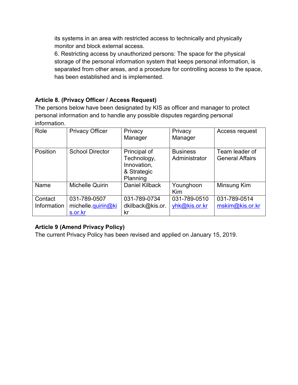its systems in an area with restricted access to technically and physically monitor and block external access.

6. Restricting access by unauthorized persons: The space for the physical storage of the personal information system that keeps personal information, is separated from other areas, and a procedure for controlling access to the space, has been established and is implemented.

#### **Article 8. (Privacy Officer / Access Request)**

The persons below have been designated by KIS as officer and manager to protect personal information and to handle any possible disputes regarding personal information.

| Role                   | <b>Privacy Officer</b>                        | Privacy<br>Manager                                                    | Privacy<br>Manager               | Access request                           |
|------------------------|-----------------------------------------------|-----------------------------------------------------------------------|----------------------------------|------------------------------------------|
| Position               | <b>School Director</b>                        | Principal of<br>Technology,<br>Innovation,<br>& Strategic<br>Planning | <b>Business</b><br>Administrator | Team leader of<br><b>General Affairs</b> |
| Name                   | <b>Michelle Quirin</b>                        | <b>Daniel Kilback</b>                                                 | Younghoon<br>Kim                 | Minsung Kim                              |
| Contact<br>Information | 031-789-0507<br>michelle quirin@ki<br>s.or.kr | 031-789-0734<br>dkilback@kis.or.<br>kr                                | 031-789-0510<br>yhk@kis.or.kr    | 031-789-0514<br>mskim@kis.or.kr          |

# **Article 9 (Amend Privacy Policy)**

The current Privacy Policy has been revised and applied on January 15, 2019.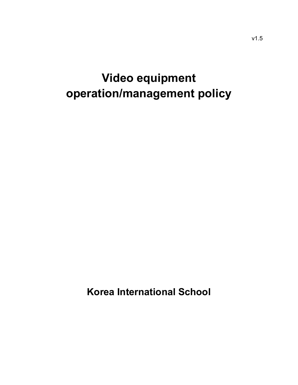# **Video equipment operation/management policy**

**Korea International School**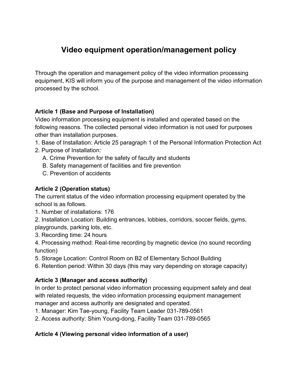# **Video equipment operation/management policy**

Through the operation and management policy of the video information processing equipment, KIS will inform you of the purpose and management of the video information processed by the school.

#### **Article 1 (Base and Purpose of Installation)**

Video information processing equipment is installed and operated based on the following reasons. The collected personal video information is not used for purposes other than installation purposes.

- 1. Base of Installation: Article 25 paragraph 1 of the Personal Information Protection Act
- 2. Purpose of Installation:
	- A. Crime Prevention for the safety of faculty and students
	- B. Safety management of facilities and fire prevention
	- C. Prevention of accidents

#### **Article 2 (Operation status)**

The current status of the video information processing equipment operated by the school is as follows.

1. Number of installations: 176

2. Installation Location: Building entrances, lobbies, corridors, soccer fields, gyms, playgrounds, parking lots, etc.

3. Recording time: 24 hours

4. Processing method: Real-time recording by magnetic device (no sound recording function)

- 5. Storage Location: Control Room on B2 of Elementary School Building
- 6. Retention period: Within 30 days (this may vary depending on storage capacity)

#### **Article 3 (Manager and access authority)**

In order to protect personal video information processing equipment safely and deal with related requests, the video information processing equipment management manager and access authority are designated and operated.

1. Manager: Kim Tae-young, Facility Team Leader 031-789-0561

2. Access authority: Shim Young-dong, Facility Team 031-789-0565

# **Article 4 (Viewing personal video information of a user)**